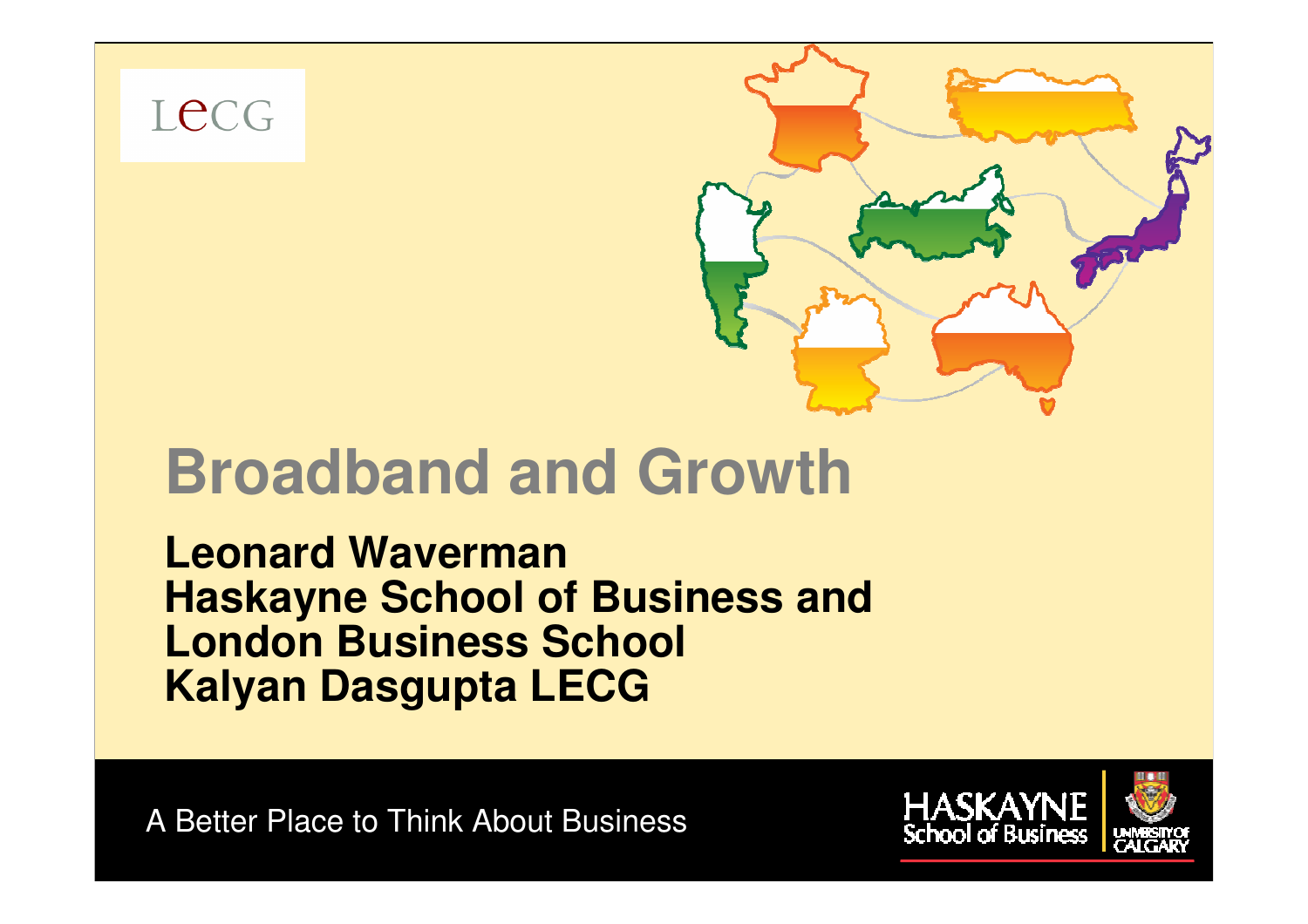Lecg



# **Broadband and Growth**

**Leonard WavermanHaskayne School of Business and London Business SchoolKalyan Dasgupta LECG**

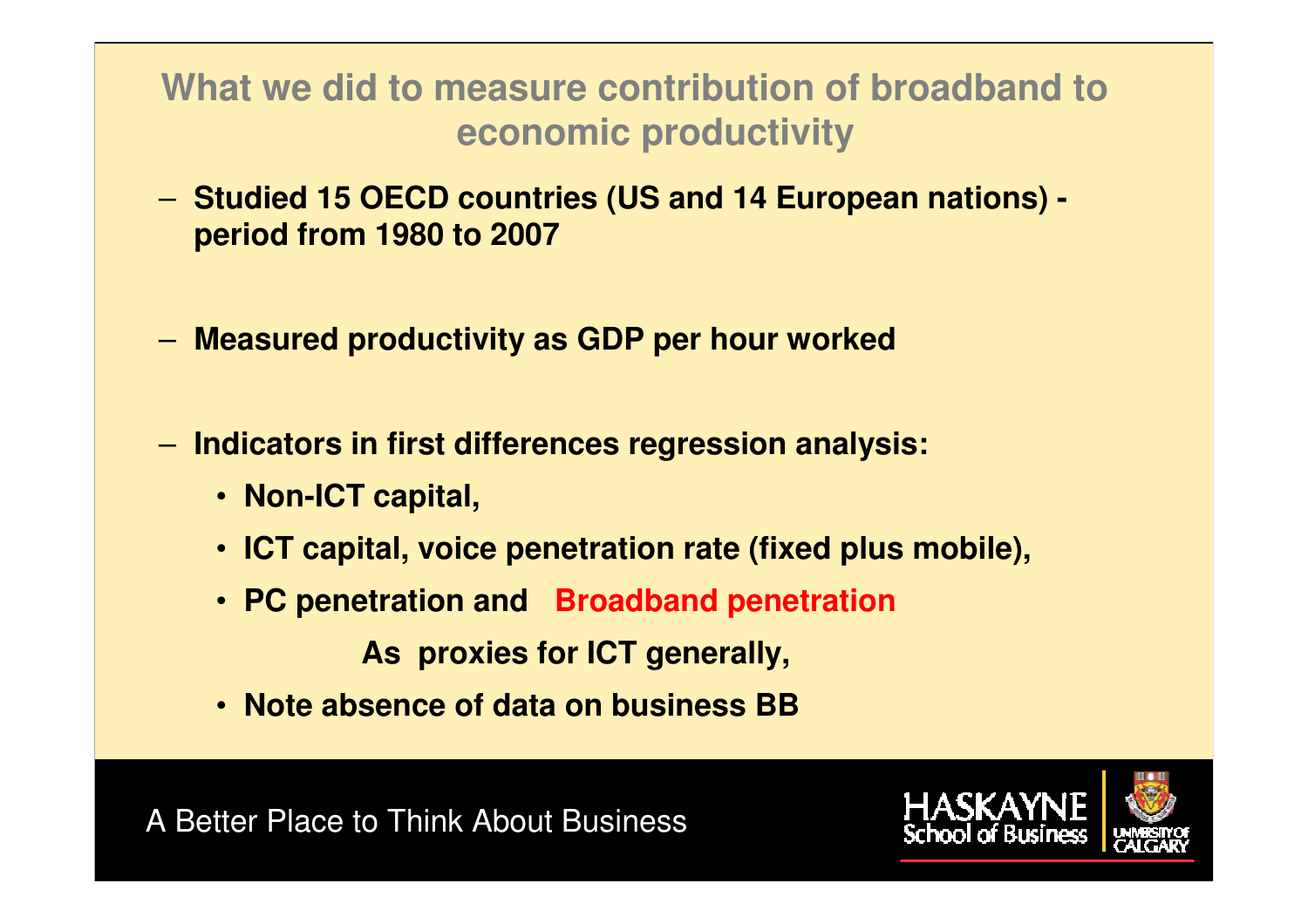**What we did to measure contribution of broadband toeconomic productivity** 

- **Studied 15 OECD countries (US and 14 European nations) period from 1980 to 2007**
- **Measured productivity as GDP per hour worked**
- **Indicators in first differences regression analysis:** 
	- **Non-ICT capital,**
	- **ICT capital, voice penetration rate (fixed plus mobile),**

DO NOT SHARE

• **PC penetration and Broadband penetration** 

**As proxies for ICT generally,**

• **Note absence of data on business BB** 



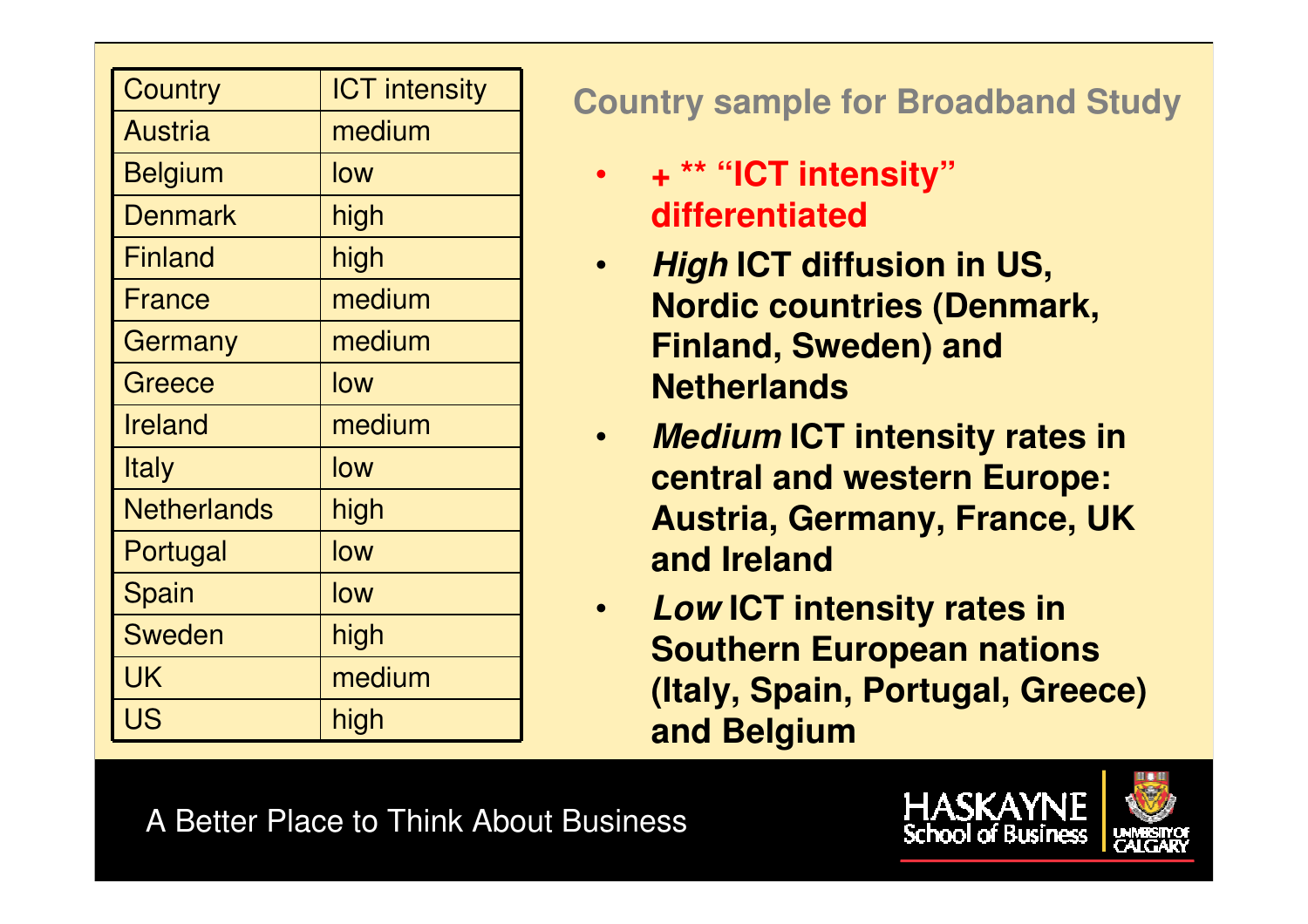| <b>Country</b>     | <b>ICT</b> intensity |
|--------------------|----------------------|
| <b>Austria</b>     | medium               |
| <b>Belgium</b>     | low                  |
| <b>Denmark</b>     | high                 |
| <b>Finland</b>     | high                 |
| France             | medium               |
| Germany            | medium               |
| Greece             | low                  |
| <b>Ireland</b>     | medium               |
| <b>Italy</b>       | low                  |
| <b>Netherlands</b> | high                 |
| Portugal           | low                  |
| Spain              | low                  |
| <b>Sweden</b>      | high                 |
| UK                 | medium               |
| <b>US</b>          | high                 |

**Country sample for Broadband Study**

- • **<sup>+</sup>\*\* "ICT intensity"differentiated**
- **High ICT diffusion in US,**  •**Nordic countries (Denmark, Finland, Sweden) and Netherlands**
- • **Medium ICT intensity rates in central and western Europe: Austria, Germany, France, UK and Ireland**
- $\bullet$  **Low ICT intensity rates in Southern European nations (Italy, Spain, Portugal, Greece) and Belgium**

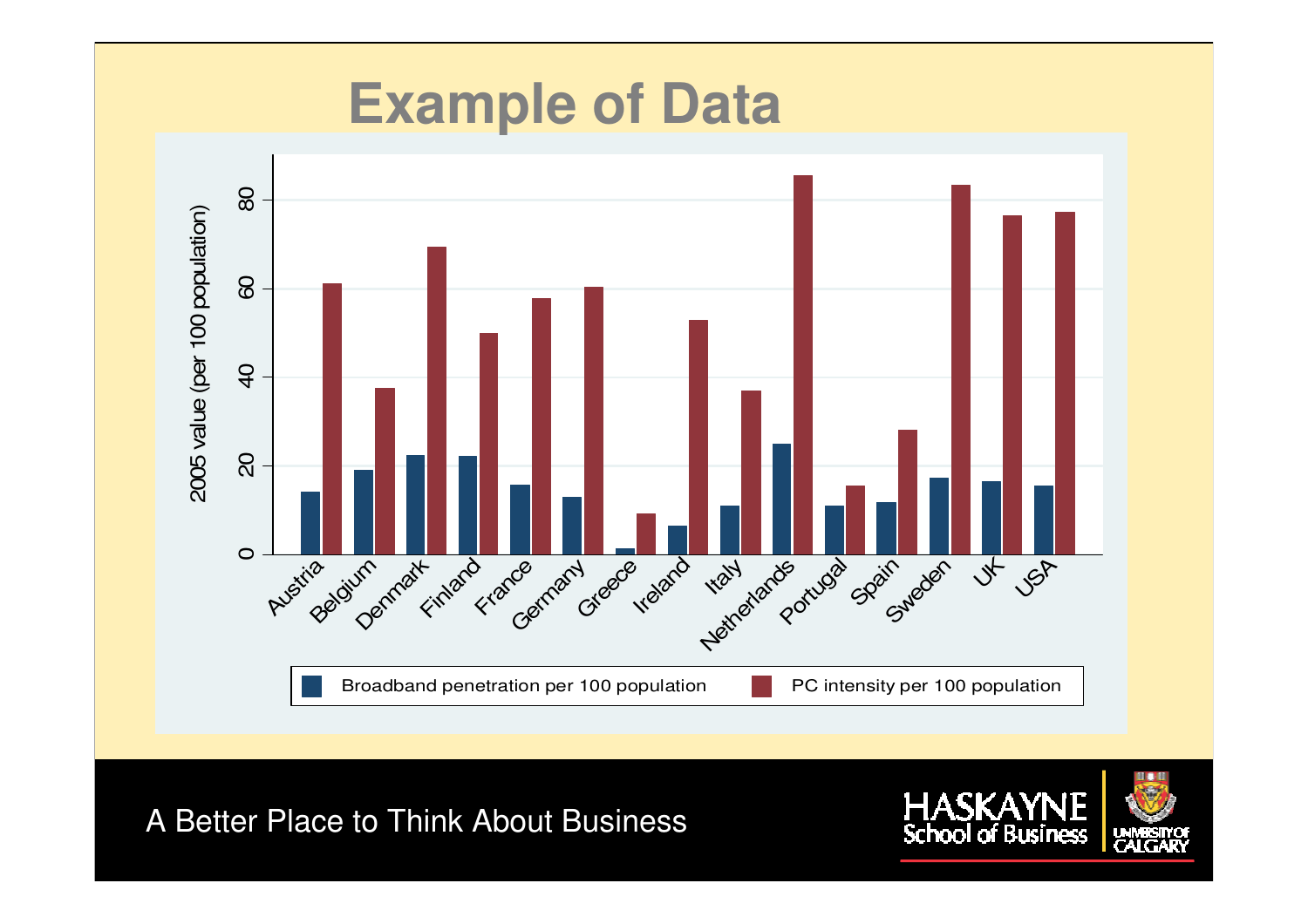

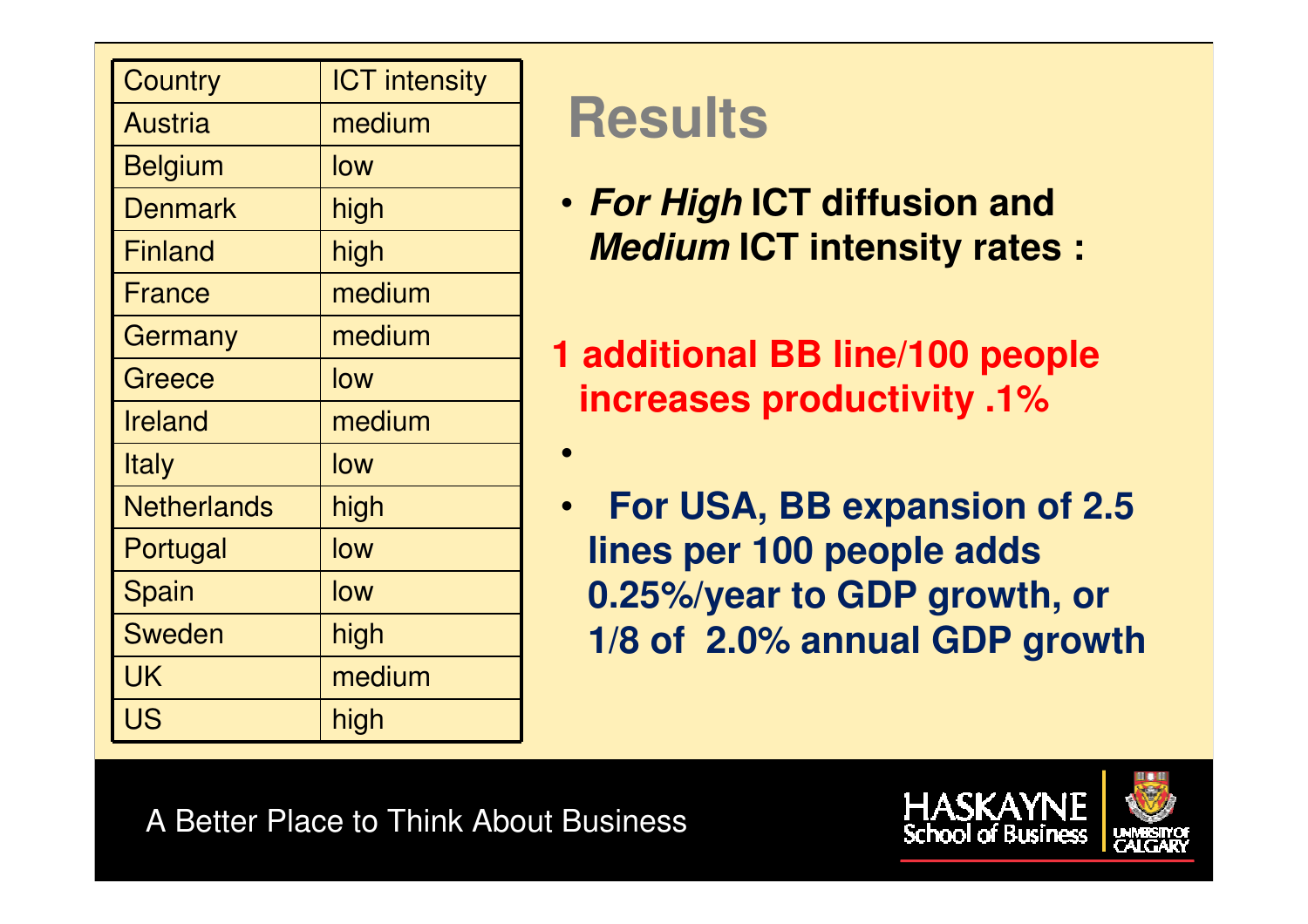| <b>Country</b>     | <b>ICT</b> intensity |
|--------------------|----------------------|
| <b>Austria</b>     | medium               |
| <b>Belgium</b>     | low                  |
| <b>Denmark</b>     | high                 |
| <b>Finland</b>     | high                 |
| <b>France</b>      | medium               |
| Germany            | medium               |
| Greece             | low                  |
| <b>Ireland</b>     | medium               |
| <b>Italy</b>       | low                  |
| <b>Netherlands</b> | high                 |
| Portugal           | low                  |
| Spain              | low                  |
| <b>Sweden</b>      | high                 |
| UK                 | medium               |
| <b>US</b>          | high                 |

### **Results**

•

- **For High ICT diffusion and Medium ICT intensity rates :**
- **1 additional BB line/100 people increases productivity .1%**
	- • **For USA, BB expansion of 2.5 lines per 100 people adds 0.25%/year to GDP growth, or 1/8 of 2.0% annual GDP growth**

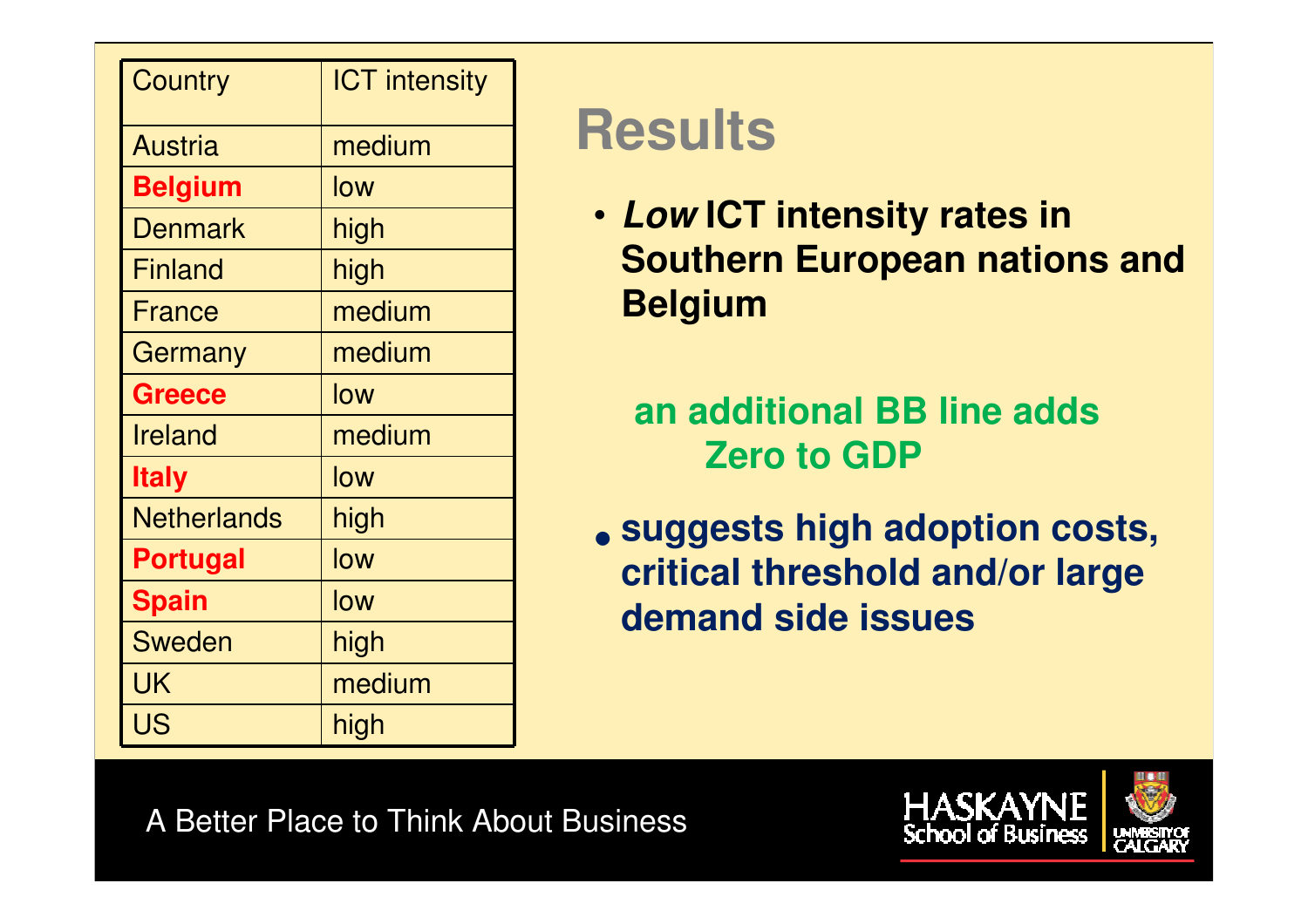| <b>Country</b>     | <b>ICT</b> intensity |
|--------------------|----------------------|
| <b>Austria</b>     | medium               |
| <b>Belgium</b>     | low                  |
| <b>Denmark</b>     | high                 |
| <b>Finland</b>     | high                 |
| France             | medium               |
| Germany            | medium               |
| <b>Greece</b>      | low                  |
| <b>Ireland</b>     | medium               |
| <b>Italy</b>       | low                  |
| <b>Netherlands</b> | high                 |
| <b>Portugal</b>    | low                  |
| <b>Spain</b>       | low                  |
| <b>Sweden</b>      | high                 |
| UK                 | medium               |
| US                 | high                 |

## **Results**

• **Low ICT intensity rates in Southern European nations and Belgium**

**an additional BB line adds Zero to GDP**

 $\bullet$  **suggests high adoption costs, critical threshold and/or large demand side issues**

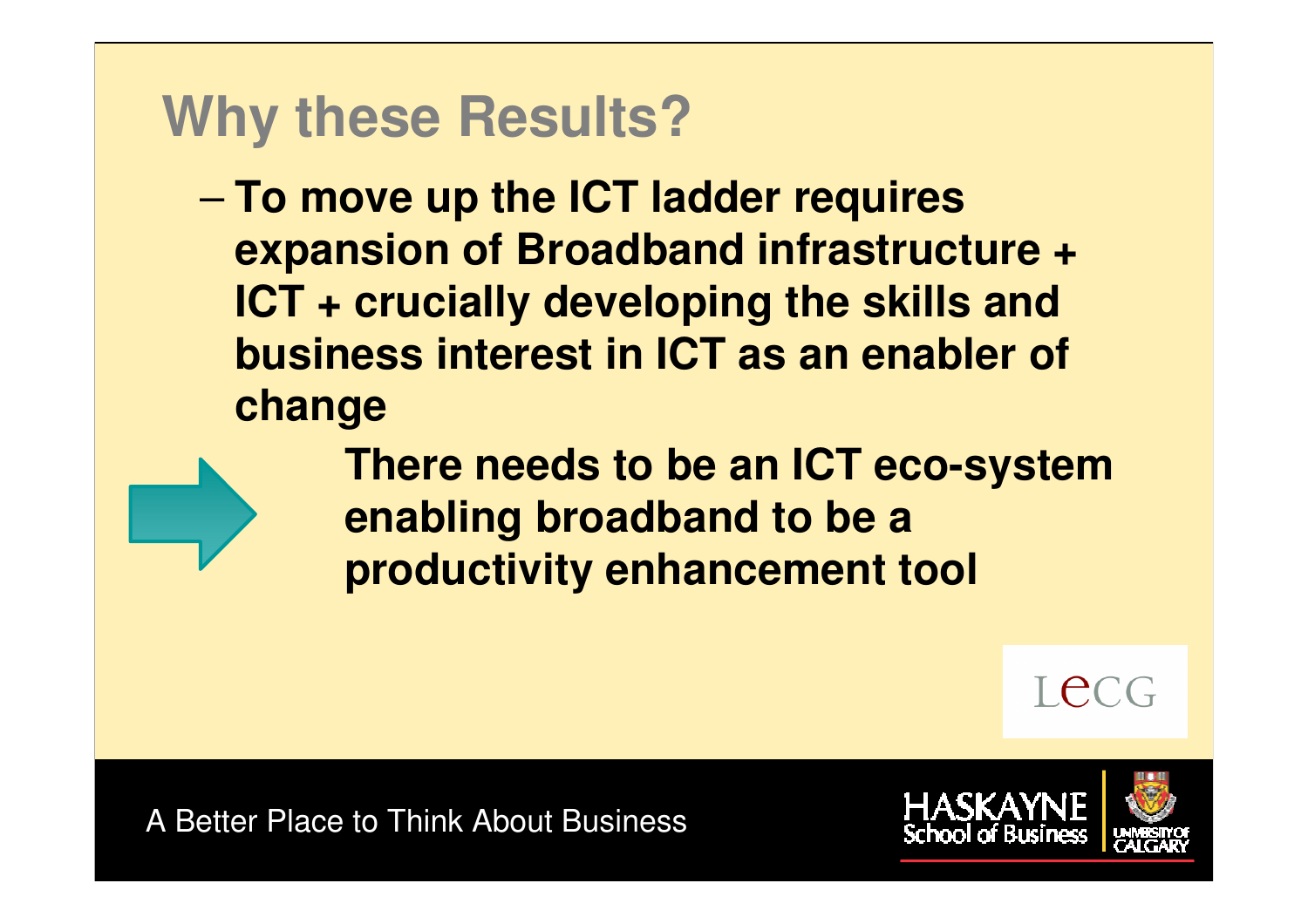### **Why these Results?**

– **To move up the ICT ladder requires expansion of Broadband infrastructure + ICT + crucially developing the skills and business interest in ICT as an enabler of change**

DO NOT SHARE

 **There needs to be an ICT eco-system enabling broadband to be a productivity enhancement tool**

Tecc

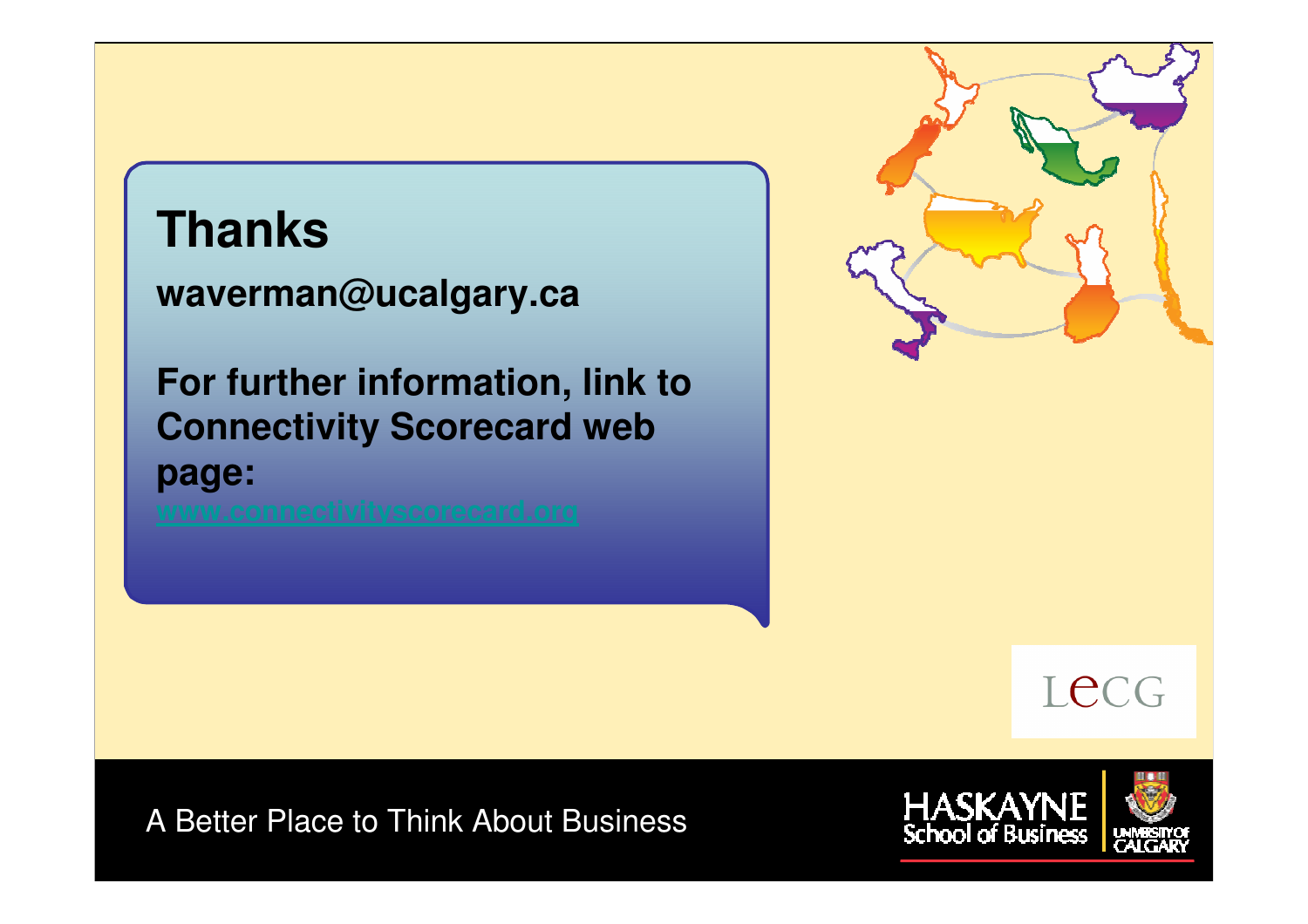### **Thanks**

**waverman@ucalgary.ca**

**For further information, link to Connectivity Scorecard web page:**





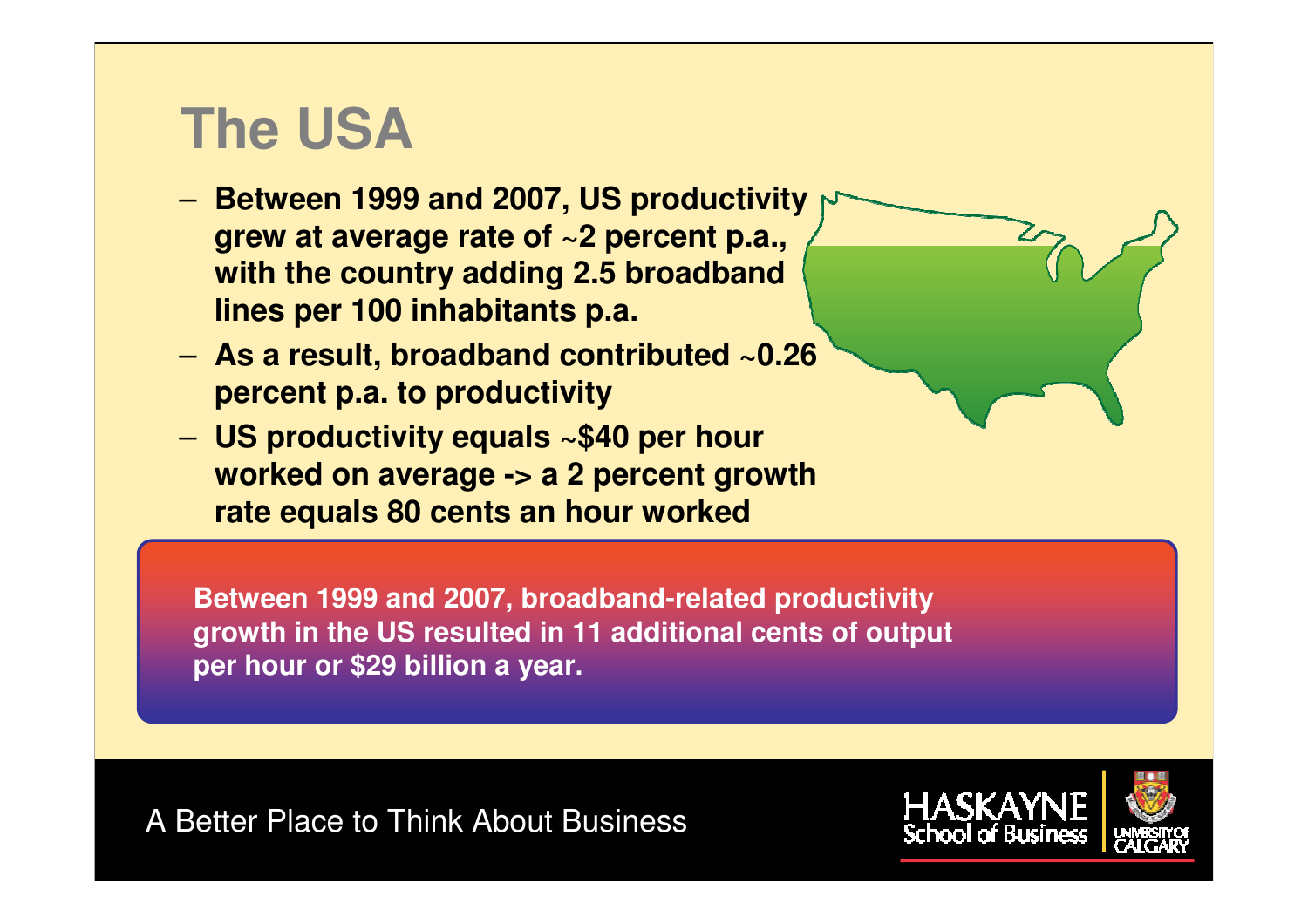### **The USA**

- Retween 10 **Between 1999 and 2007, US productivity grew at average rate of ~2 percent p.a., with the country adding 2.5 broadband lines per 100 inhabitants p.a.**
- **As a result, broadband contributed ~0.26 percent p.a. to productivity**
- **US productivity equals ~\$40 per hour worked on average -> a 2 percent growth rate equals 80 cents an hour worked**

**Between 1999 and 2007, broadband-related productivity growth in the US resulted in 11 additional cents of output per hour or \$29 billion a year.** 

DO NOT SHARE

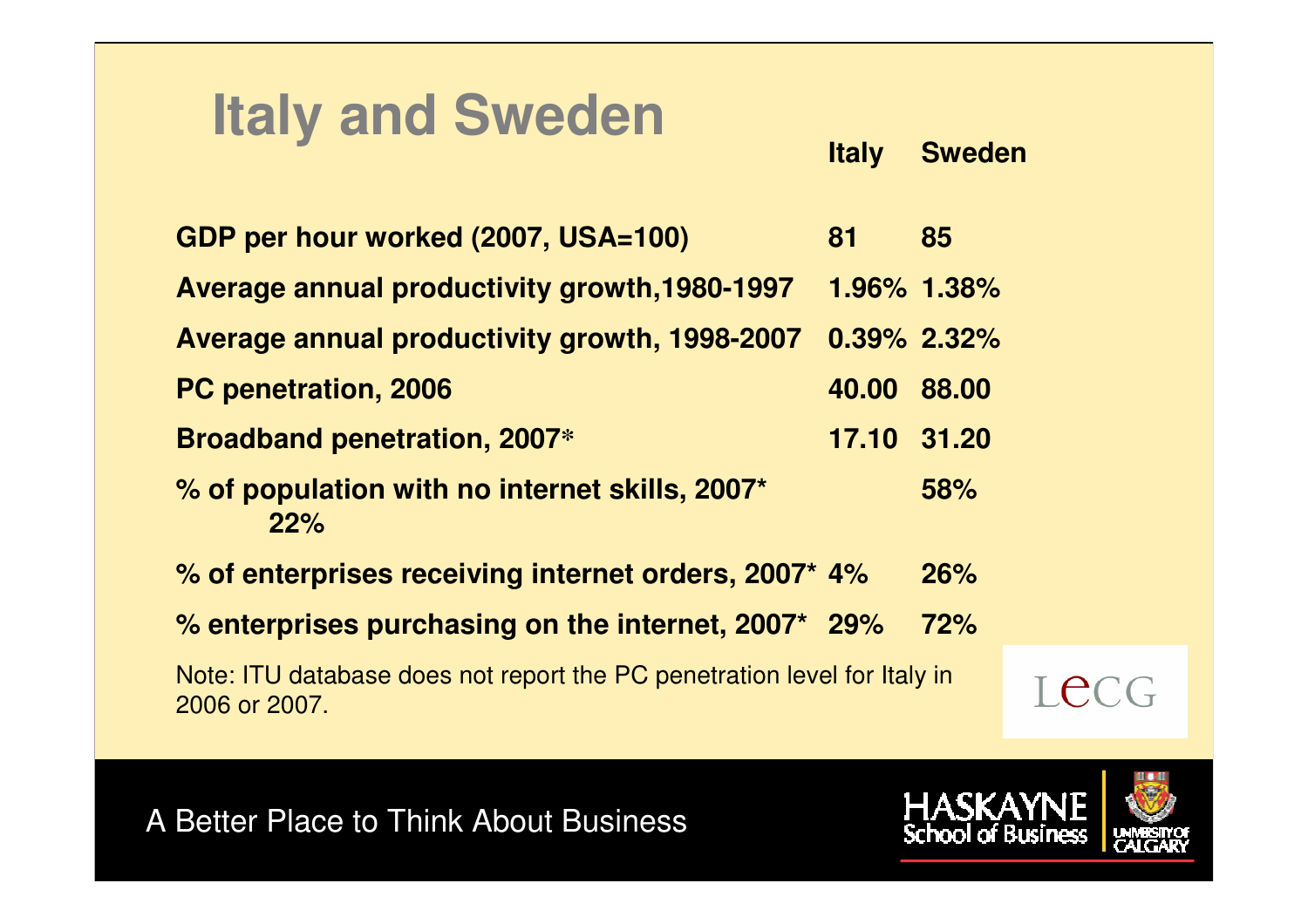### **Italy and Sweden**

**Italy Sweden**

**GDP per hour worked (2007, USA=100) 81 85Average annual productivity growth,1980-1997 1.96% 1.38%Average annual productivity growth, 1998-2007 0.39% 2.32%PC penetration, 2006 40.00 88.00Broadband penetration, 2007\* 17.10 31.20% of population with no internet skills, 2007\* 58%22%% of enterprises receiving internet orders, 2007\* 4% 26% % enterprises purchasing on the internet, 2007\* 29% 72%**Note: ITU database does not report the PC penetration level for Italy in

DO NOT SHARE

2006 or 2007.



I ec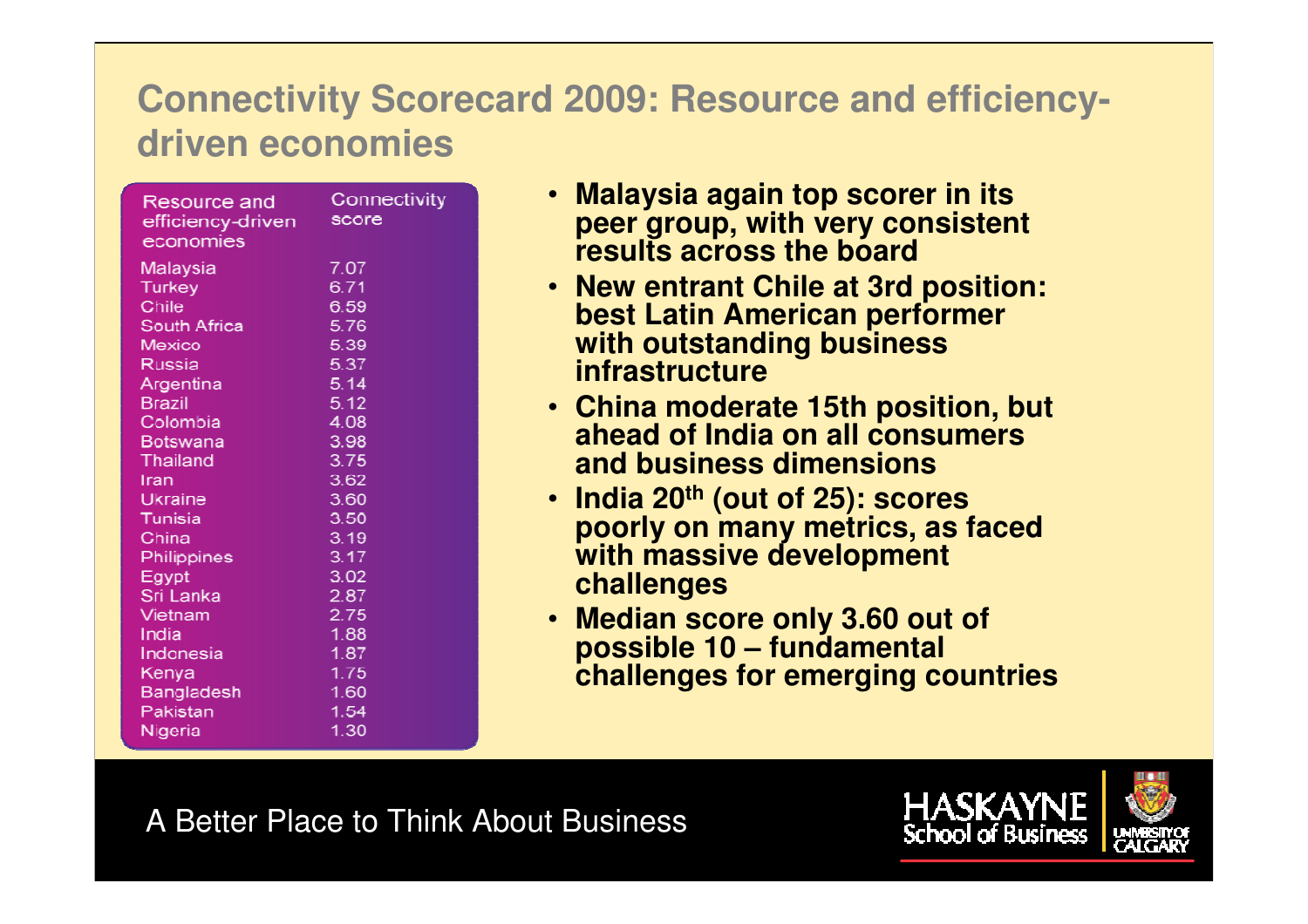#### **Connectivity Scorecard 2009: Resource and efficiencydriven economies**

| Resource and<br>efficiency-driven<br>economies | Connectivit<br>score |
|------------------------------------------------|----------------------|
| <b>Malaysia</b>                                | 7.07                 |
| <b>Turkey</b>                                  | 6.71                 |
| Chile                                          | 6.59                 |
| South Africa                                   | 5.76                 |
| Mexico                                         | 5.39                 |
| Russia                                         | 5.37                 |
| Argentina                                      | 5.14                 |
| <b>Brazil</b>                                  | 5.12                 |
| Colombia                                       | 4.08                 |
| <b>Botswana</b>                                | 3.98                 |
| Thailand                                       | 3.75                 |
| Iran                                           | 3.62                 |
| Ukraine                                        | 3.60                 |
| Tunisia                                        | 3.50                 |
| China                                          | 3.19                 |
| Philippines                                    | 3.17                 |
| Egypt                                          | 3.02                 |
| Sri Lanka                                      | 2.87                 |
| Vietnam                                        | 2.75                 |
| India                                          | 1.88                 |
| Indonesia                                      | 1.87                 |
| Kenya                                          | 1.75                 |
| Bangladesh                                     | 1.60                 |
| Pakistan                                       | 1.54                 |
| Nigeria                                        | 1.30                 |

- **Malaysia again top scorer in its peer group, with very consistent results across the board**
- **New entrant Chile at 3rd position: best Latin American performer with outstanding business infrastructure**
- **China moderate 15th position, but ahead of India on all consumers and business dimensions**
- **India 20th (out of 25): scores poorly on many metrics, as faced with massive development challenges**
- **Median score only 3.60 out of possible 10 – fundamental challenges for emerging countries**